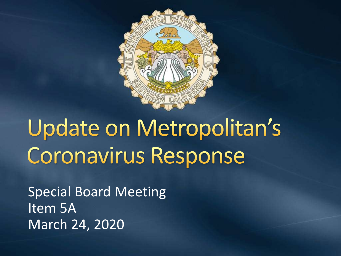

# Update on Metropolitan's **Coronavirus Response**

Special Board Meeting Item 5A March 24, 2020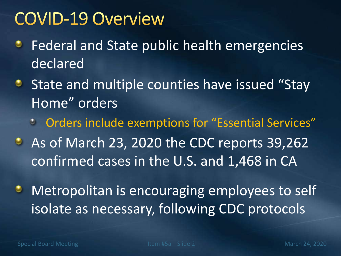## **COVID-19 Overview**

- Federal and State public health emergencies ۰ declared
- State and multiple counties have issued "Stay Home" orders
	- **Conduct 2 Services** Conducter Services Conducts Conducts Conducts Conducts Conducts Conducts Conducts Conducts Conducts Conducts Conducts Conducts Conducts Conducts Conducts Conducts Conducts Conducts Conducts Conducts Co
- As of March 23, 2020 the CDC reports 39,262 confirmed cases in the U.S. and 1,468 in CA
- Metropolitan is encouraging employees to self ۰ isolate as necessary, following CDC protocols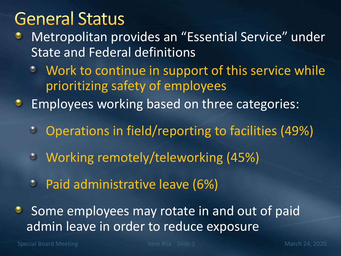#### **General Status**

- Metropolitan provides an "Essential Service" under ٥ State and Federal definitions
	- Work to continue in support of this service while  $\bullet$ prioritizing safety of employees
- Employees working based on three categories: ۰
	- Operations in field/reporting to facilities (49%)  $\bullet$
	- Working remotely/teleworking (45%)  $\bullet$
	- Paid administrative leave (6%)
- Some employees may rotate in and out of paid admin leave in order to reduce exposure

Special Board Meeting The Item #5a Slide 3 March 24, 2020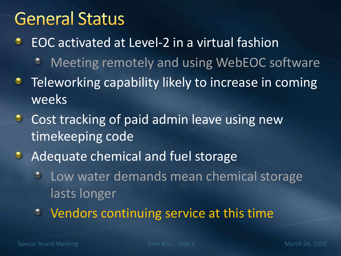## **General Status**

EOC activated at Level-2 in a virtual fashion ٠

- Meeting remotely and using WebEOC software
- Teleworking capability likely to increase in coming ۰ weeks
- Cost tracking of paid admin leave using new  $\bullet$ timekeeping code
- Adequate chemical and fuel storage  $\bullet$ 
	- Low water demands mean chemical storage  $\bullet$ lasts longer
	- Vendors continuing service at this time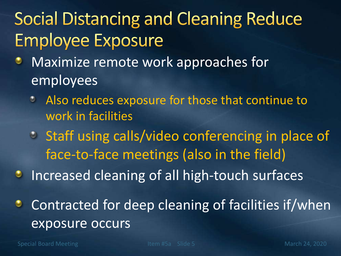# **Social Distancing and Cleaning Reduce Employee Exposure**

- Maximize remote work approaches for ٠ employees
	- Also reduces exposure for those that continue to work in facilities
	- **Staff using calls/video conferencing in place of** face-to-face meetings (also in the field)
- Increased cleaning of all high-touch surfaces ۰
- Contracted for deep cleaning of facilities if/when ٠ exposure occurs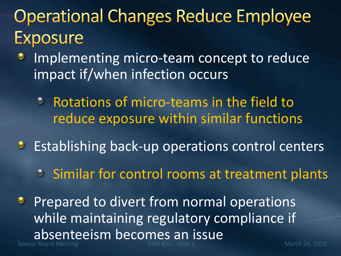# **Operational Changes Reduce Employee Exposure**

- Implementing micro-team concept to reduce impact if/when infection occurs
	- Rotations of micro-teams in the field to reduce exposure within similar functions
- **Establishing back-up operations control centers** 
	- **Similar for control rooms at treatment plants**
- Special Board Meeting The Item #5a Slide 6 March 24, 2020 Prepared to divert from normal operations while maintaining regulatory compliance if absenteeism becomes an issue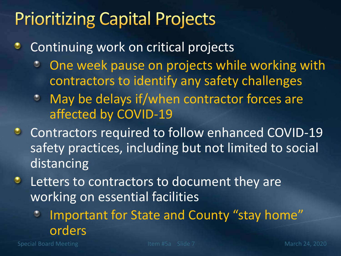## **Prioritizing Capital Projects**

- Continuing work on critical projects ٠
	- One week pause on projects while working with  $\circ$ contractors to identify any safety challenges
	- **May be delays if/when contractor forces are** affected by COVID-19
- **C** Contractors required to follow enhanced COVID-19 safety practices, including but not limited to social distancing
- Letters to contractors to document they are  $\bullet$ working on essential facilities
	- Important for State and County "stay home" ٠ orders

Special Board Meeting The Item #5a Slide 7 March 24, 2020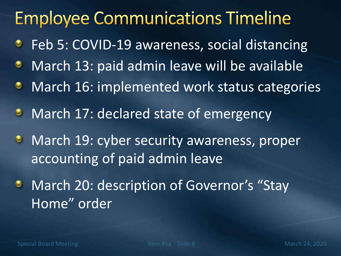# **Employee Communications Timeline**

- Feb 5: COVID-19 awareness, social distancing ۰
- March 13: paid admin leave will be available ۰
- March 16: implemented work status categories ۰
- March 17: declared state of emergency  $\bullet$
- **March 19: cyber security awareness, proper** accounting of paid admin leave
- March 20: description of Governor's "Stay ۰ Home" order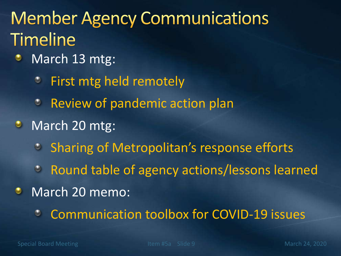# **Member Agency Communications Timeline**

- March 13 mtg: ۰
	- First mtg held remotely  $\bullet$
	- **<sup>3</sup>** Review of pandemic action plan
- $\bullet$ March 20 mtg:
	- <sup>2</sup> Sharing of Metropolitan's response efforts
	- Round table of agency actions/lessons learned
- March 20 memo:  $\bullet$ 
	- Communication toolbox for COVID-19 issues٥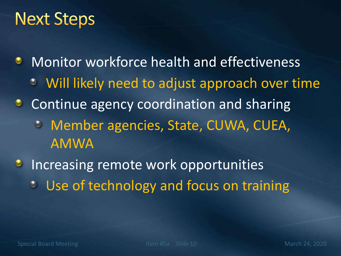## **Next Steps**

- Monitor workforce health and effectiveness ۰ Will likely need to adjust approach over time
- Continue agency coordination and sharing ۰ Member agencies, State, CUWA, CUEA, AMWA
- Increasing remote work opportunities  $\bullet$ Use of technology and focus on training $\odot$